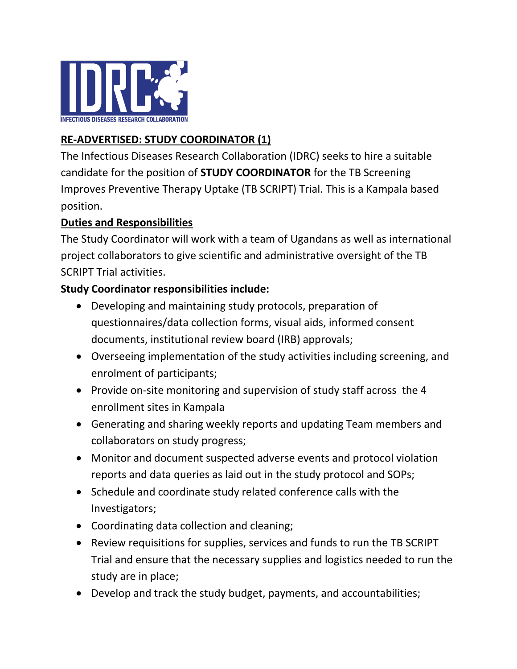

## **RE-ADVERTISED: STUDY COORDINATOR (1)**

The Infectious Diseases Research Collaboration (IDRC) seeks to hire a suitable candidate for the position of **STUDY COORDINATOR** for the TB Screening Improves Preventive Therapy Uptake (TB SCRIPT) Trial. This is a Kampala based position.

#### **Duties and Responsibilities**

The Study Coordinator will work with a team of Ugandans as well as international project collaborators to give scientific and administrative oversight of the TB SCRIPT Trial activities.

### **Study Coordinator responsibilities include:**

- Developing and maintaining study protocols, preparation of questionnaires/data collection forms, visual aids, informed consent documents, institutional review board (IRB) approvals;
- Overseeing implementation of the study activities including screening, and enrolment of participants;
- Provide on-site monitoring and supervision of study staff across the 4 enrollment sites in Kampala
- Generating and sharing weekly reports and updating Team members and collaborators on study progress;
- Monitor and document suspected adverse events and protocol violation reports and data queries as laid out in the study protocol and SOPs;
- Schedule and coordinate study related conference calls with the Investigators;
- Coordinating data collection and cleaning;
- Review requisitions for supplies, services and funds to run the TB SCRIPT Trial and ensure that the necessary supplies and logistics needed to run the study are in place;
- Develop and track the study budget, payments, and accountabilities;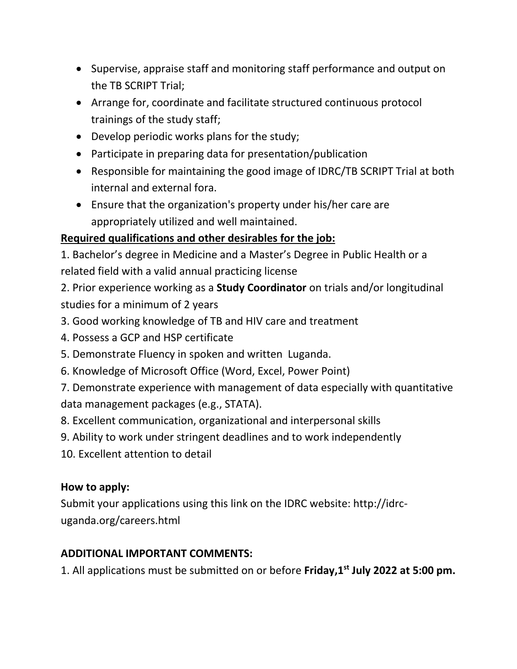- Supervise, appraise staff and monitoring staff performance and output on the TB SCRIPT Trial;
- Arrange for, coordinate and facilitate structured continuous protocol trainings of the study staff;
- Develop periodic works plans for the study;
- Participate in preparing data for presentation/publication
- Responsible for maintaining the good image of IDRC/TB SCRIPT Trial at both internal and external fora.
- Ensure that the organization's property under his/her care are appropriately utilized and well maintained.

### **Required qualifications and other desirables for the job:**

1. Bachelor's degree in Medicine and a Master's Degree in Public Health or a related field with a valid annual practicing license

2. Prior experience working as a **Study Coordinator** on trials and/or longitudinal studies for a minimum of 2 years

- 3. Good working knowledge of TB and HIV care and treatment
- 4. Possess a GCP and HSP certificate
- 5. Demonstrate Fluency in spoken and written Luganda.
- 6. Knowledge of Microsoft Office (Word, Excel, Power Point)

7. Demonstrate experience with management of data especially with quantitative data management packages (e.g., STATA).

8. Excellent communication, organizational and interpersonal skills

- 9. Ability to work under stringent deadlines and to work independently
- 10. Excellent attention to detail

### **How to apply:**

Submit your applications using this link on the IDRC website: http://idrcuganda.org/careers.html

# **ADDITIONAL IMPORTANT COMMENTS:**

1. All applications must be submitted on or before **Friday,1st July 2022 at 5:00 pm.**